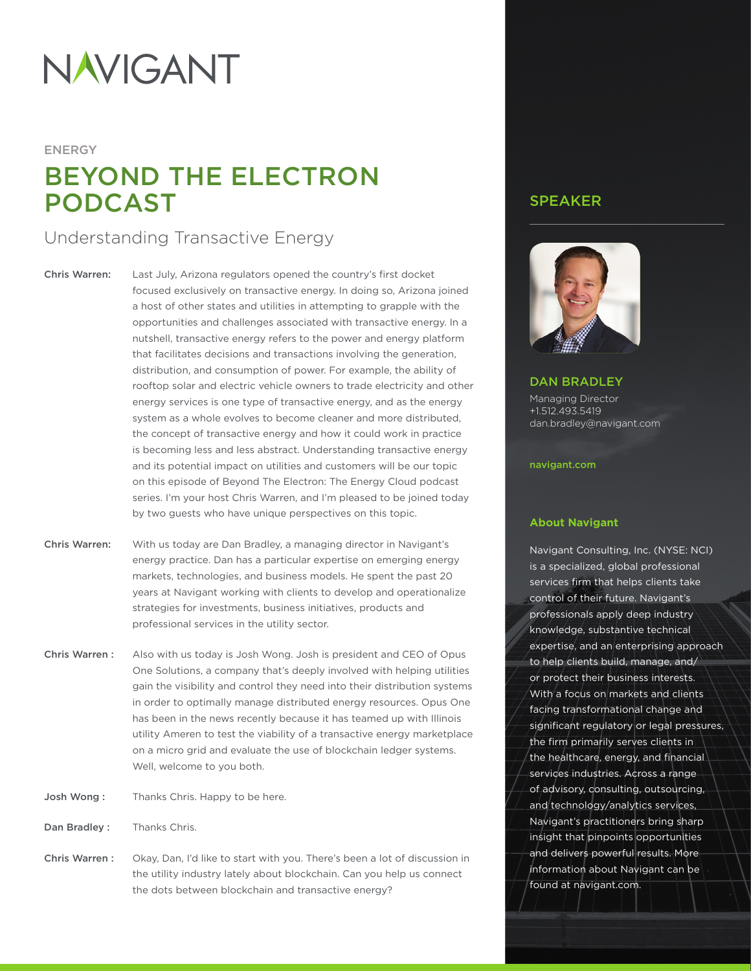# NAVIGANT

## ENERGY BEYOND THE ELECTRON PODCAST

### Understanding Transactive Energy

Chris Warren: Last July, Arizona regulators opened the country's first docket focused exclusively on transactive energy. In doing so, Arizona joined a host of other states and utilities in attempting to grapple with the opportunities and challenges associated with transactive energy. In a nutshell, transactive energy refers to the power and energy platform that facilitates decisions and transactions involving the generation, distribution, and consumption of power. For example, the ability of rooftop solar and electric vehicle owners to trade electricity and other energy services is one type of transactive energy, and as the energy system as a whole evolves to become cleaner and more distributed, the concept of transactive energy and how it could work in practice is becoming less and less abstract. Understanding transactive energy and its potential impact on utilities and customers will be our topic on this episode of Beyond The Electron: The Energy Cloud podcast series. I'm your host Chris Warren, and I'm pleased to be joined today by two guests who have unique perspectives on this topic.

- Chris Warren: With us today are Dan Bradley, a managing director in Navigant's energy practice. Dan has a particular expertise on emerging energy markets, technologies, and business models. He spent the past 20 years at Navigant working with clients to develop and operationalize strategies for investments, business initiatives, products and professional services in the utility sector.
- Chris Warren: Also with us today is Josh Wong. Josh is president and CEO of Opus One Solutions, a company that's deeply involved with helping utilities gain the visibility and control they need into their distribution systems in order to optimally manage distributed energy resources. Opus One has been in the news recently because it has teamed up with Illinois utility Ameren to test the viability of a transactive energy marketplace on a micro grid and evaluate the use of blockchain ledger systems. Well, welcome to you both.
- Josh Wong: Thanks Chris. Happy to be here.
- Dan Bradley : Thanks Chris.
- Chris Warren : Okay, Dan, I'd like to start with you. There's been a lot of discussion in the utility industry lately about blockchain. Can you help us connect the dots between blockchain and transactive energy?

#### SPEAKER



#### DAN BRADLEY

Managing Director +1.512.493.5419 dan.bradley@navigant.com

#### [navigant.com](http://navigant.com)

#### **About Navigant**

Navigant Consulting, Inc. (NYSE: NCI) is a specialized, global professional services firm that helps clients take control of their future. Navigant's professionals apply deep industry knowledge, substantive technical expertise, and an enterprising approach to help clients build, manage, and/ or protect their business interests. With a focus on markets and clients facing transformational change and significant regulatory or legal pressures, the firm primarily serves clients in the healthcare, energy, and financial services industries. Across a range of advisory, consulting, outsourcing, and technology/analytics services, Navigant's practitioners bring sharp insight that pinpoints opportunities and delivers powerful results. More information about Navigant can be found at [navigant.com](http://navigant.com).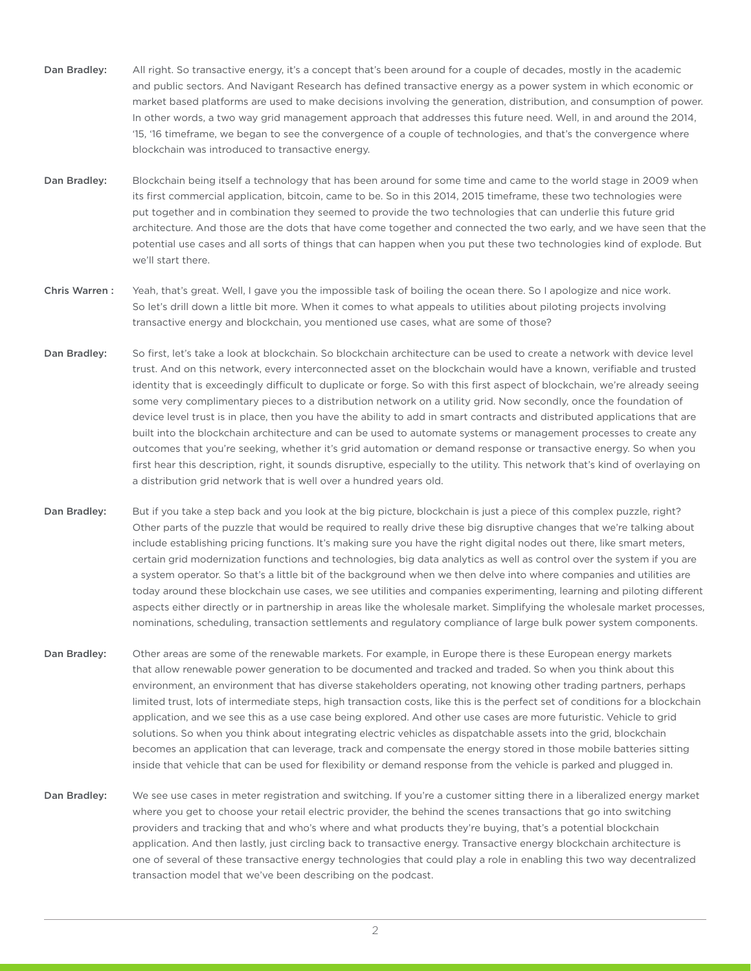- Dan Bradley: All right. So transactive energy, it's a concept that's been around for a couple of decades, mostly in the academic and public sectors. And Navigant Research has defined transactive energy as a power system in which economic or market based platforms are used to make decisions involving the generation, distribution, and consumption of power. In other words, a two way grid management approach that addresses this future need. Well, in and around the 2014, '15, '16 timeframe, we began to see the convergence of a couple of technologies, and that's the convergence where blockchain was introduced to transactive energy.
- Dan Bradley: Blockchain being itself a technology that has been around for some time and came to the world stage in 2009 when its first commercial application, bitcoin, came to be. So in this 2014, 2015 timeframe, these two technologies were put together and in combination they seemed to provide the two technologies that can underlie this future grid architecture. And those are the dots that have come together and connected the two early, and we have seen that the potential use cases and all sorts of things that can happen when you put these two technologies kind of explode. But we'll start there.
- Chris Warren : Yeah, that's great. Well, I gave you the impossible task of boiling the ocean there. So I apologize and nice work. So let's drill down a little bit more. When it comes to what appeals to utilities about piloting projects involving transactive energy and blockchain, you mentioned use cases, what are some of those?
- Dan Bradley: So first, let's take a look at blockchain. So blockchain architecture can be used to create a network with device level trust. And on this network, every interconnected asset on the blockchain would have a known, verifiable and trusted identity that is exceedingly difficult to duplicate or forge. So with this first aspect of blockchain, we're already seeing some very complimentary pieces to a distribution network on a utility grid. Now secondly, once the foundation of device level trust is in place, then you have the ability to add in smart contracts and distributed applications that are built into the blockchain architecture and can be used to automate systems or management processes to create any outcomes that you're seeking, whether it's grid automation or demand response or transactive energy. So when you first hear this description, right, it sounds disruptive, especially to the utility. This network that's kind of overlaying on a distribution grid network that is well over a hundred years old.
- Dan Bradley: But if you take a step back and you look at the big picture, blockchain is just a piece of this complex puzzle, right? Other parts of the puzzle that would be required to really drive these big disruptive changes that we're talking about include establishing pricing functions. It's making sure you have the right digital nodes out there, like smart meters, certain grid modernization functions and technologies, big data analytics as well as control over the system if you are a system operator. So that's a little bit of the background when we then delve into where companies and utilities are today around these blockchain use cases, we see utilities and companies experimenting, learning and piloting different aspects either directly or in partnership in areas like the wholesale market. Simplifying the wholesale market processes, nominations, scheduling, transaction settlements and regulatory compliance of large bulk power system components.
- Dan Bradley: Other areas are some of the renewable markets. For example, in Europe there is these European energy markets that allow renewable power generation to be documented and tracked and traded. So when you think about this environment, an environment that has diverse stakeholders operating, not knowing other trading partners, perhaps limited trust, lots of intermediate steps, high transaction costs, like this is the perfect set of conditions for a blockchain application, and we see this as a use case being explored. And other use cases are more futuristic. Vehicle to grid solutions. So when you think about integrating electric vehicles as dispatchable assets into the grid, blockchain becomes an application that can leverage, track and compensate the energy stored in those mobile batteries sitting inside that vehicle that can be used for flexibility or demand response from the vehicle is parked and plugged in.
- Dan Bradley: We see use cases in meter registration and switching. If you're a customer sitting there in a liberalized energy market where you get to choose your retail electric provider, the behind the scenes transactions that go into switching providers and tracking that and who's where and what products they're buying, that's a potential blockchain application. And then lastly, just circling back to transactive energy. Transactive energy blockchain architecture is one of several of these transactive energy technologies that could play a role in enabling this two way decentralized transaction model that we've been describing on the podcast.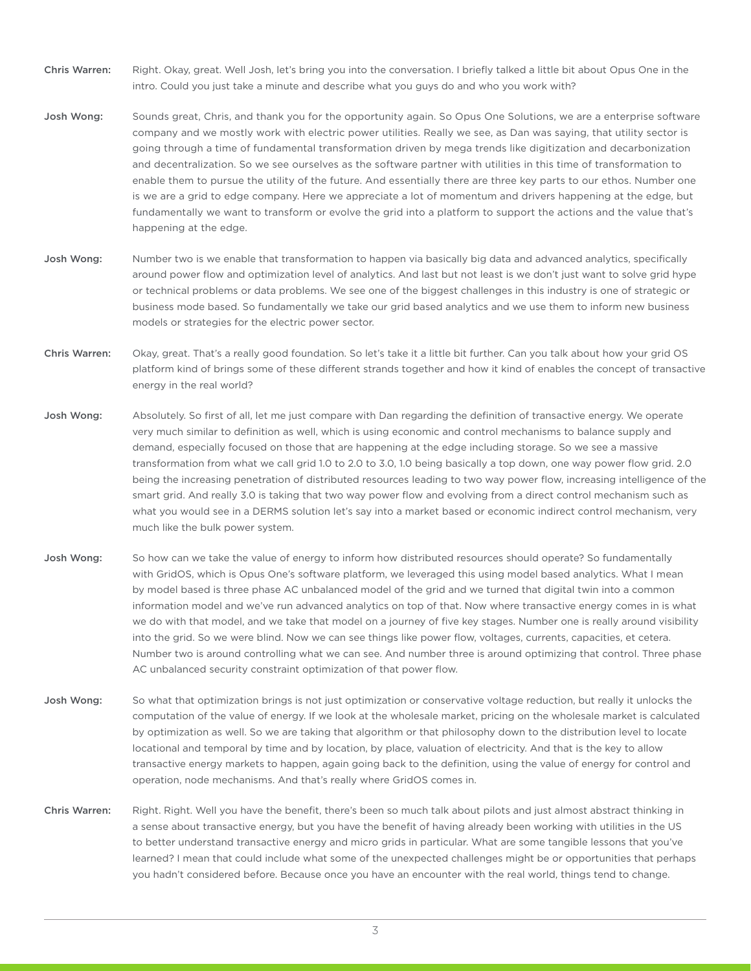- Chris Warren: Right. Okay, great. Well Josh, let's bring you into the conversation. I briefly talked a little bit about Opus One in the intro. Could you just take a minute and describe what you guys do and who you work with?
- Josh Wong: Sounds great, Chris, and thank you for the opportunity again. So Opus One Solutions, we are a enterprise software company and we mostly work with electric power utilities. Really we see, as Dan was saying, that utility sector is going through a time of fundamental transformation driven by mega trends like digitization and decarbonization and decentralization. So we see ourselves as the software partner with utilities in this time of transformation to enable them to pursue the utility of the future. And essentially there are three key parts to our ethos. Number one is we are a grid to edge company. Here we appreciate a lot of momentum and drivers happening at the edge, but fundamentally we want to transform or evolve the grid into a platform to support the actions and the value that's happening at the edge.
- Josh Wong: Number two is we enable that transformation to happen via basically big data and advanced analytics, specifically around power flow and optimization level of analytics. And last but not least is we don't just want to solve grid hype or technical problems or data problems. We see one of the biggest challenges in this industry is one of strategic or business mode based. So fundamentally we take our grid based analytics and we use them to inform new business models or strategies for the electric power sector.
- Chris Warren: Okay, great. That's a really good foundation. So let's take it a little bit further. Can you talk about how your grid OS platform kind of brings some of these different strands together and how it kind of enables the concept of transactive energy in the real world?
- Josh Wong: Absolutely. So first of all, let me just compare with Dan regarding the definition of transactive energy. We operate very much similar to definition as well, which is using economic and control mechanisms to balance supply and demand, especially focused on those that are happening at the edge including storage. So we see a massive transformation from what we call grid 1.0 to 2.0 to 3.0, 1.0 being basically a top down, one way power flow grid. 2.0 being the increasing penetration of distributed resources leading to two way power flow, increasing intelligence of the smart grid. And really 3.0 is taking that two way power flow and evolving from a direct control mechanism such as what you would see in a DERMS solution let's say into a market based or economic indirect control mechanism, very much like the bulk power system.
- Josh Wong: So how can we take the value of energy to inform how distributed resources should operate? So fundamentally with GridOS, which is Opus One's software platform, we leveraged this using model based analytics. What I mean by model based is three phase AC unbalanced model of the grid and we turned that digital twin into a common information model and we've run advanced analytics on top of that. Now where transactive energy comes in is what we do with that model, and we take that model on a journey of five key stages. Number one is really around visibility into the grid. So we were blind. Now we can see things like power flow, voltages, currents, capacities, et cetera. Number two is around controlling what we can see. And number three is around optimizing that control. Three phase AC unbalanced security constraint optimization of that power flow.
- Josh Wong: So what that optimization brings is not just optimization or conservative voltage reduction, but really it unlocks the computation of the value of energy. If we look at the wholesale market, pricing on the wholesale market is calculated by optimization as well. So we are taking that algorithm or that philosophy down to the distribution level to locate locational and temporal by time and by location, by place, valuation of electricity. And that is the key to allow transactive energy markets to happen, again going back to the definition, using the value of energy for control and operation, node mechanisms. And that's really where GridOS comes in.
- Chris Warren: Right. Right. Well you have the benefit, there's been so much talk about pilots and just almost abstract thinking in a sense about transactive energy, but you have the benefit of having already been working with utilities in the US to better understand transactive energy and micro grids in particular. What are some tangible lessons that you've learned? I mean that could include what some of the unexpected challenges might be or opportunities that perhaps you hadn't considered before. Because once you have an encounter with the real world, things tend to change.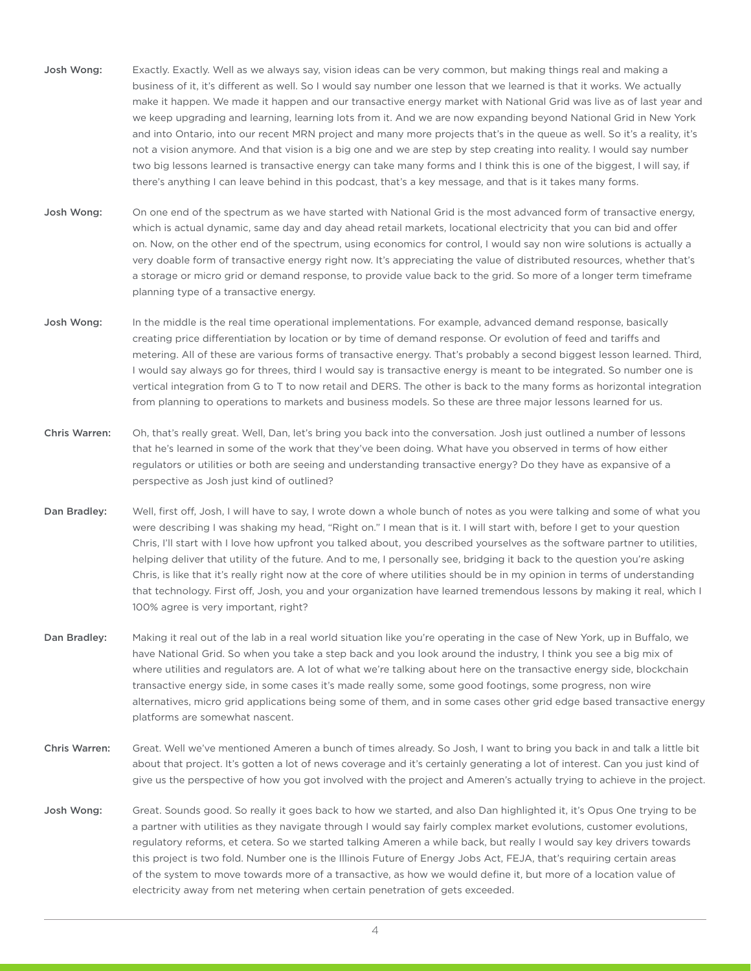- Josh Wong: Exactly. Exactly. Well as we always say, vision ideas can be very common, but making things real and making a business of it, it's different as well. So I would say number one lesson that we learned is that it works. We actually make it happen. We made it happen and our transactive energy market with National Grid was live as of last year and we keep upgrading and learning, learning lots from it. And we are now expanding beyond National Grid in New York and into Ontario, into our recent MRN project and many more projects that's in the queue as well. So it's a reality, it's not a vision anymore. And that vision is a big one and we are step by step creating into reality. I would say number two big lessons learned is transactive energy can take many forms and I think this is one of the biggest, I will say, if there's anything I can leave behind in this podcast, that's a key message, and that is it takes many forms.
- Josh Wong: On one end of the spectrum as we have started with National Grid is the most advanced form of transactive energy, which is actual dynamic, same day and day ahead retail markets, locational electricity that you can bid and offer on. Now, on the other end of the spectrum, using economics for control, I would say non wire solutions is actually a very doable form of transactive energy right now. It's appreciating the value of distributed resources, whether that's a storage or micro grid or demand response, to provide value back to the grid. So more of a longer term timeframe planning type of a transactive energy.
- Josh Wong: In the middle is the real time operational implementations. For example, advanced demand response, basically creating price differentiation by location or by time of demand response. Or evolution of feed and tariffs and metering. All of these are various forms of transactive energy. That's probably a second biggest lesson learned. Third, I would say always go for threes, third I would say is transactive energy is meant to be integrated. So number one is vertical integration from G to T to now retail and DERS. The other is back to the many forms as horizontal integration from planning to operations to markets and business models. So these are three major lessons learned for us.
- Chris Warren: Oh, that's really great. Well, Dan, let's bring you back into the conversation. Josh just outlined a number of lessons that he's learned in some of the work that they've been doing. What have you observed in terms of how either regulators or utilities or both are seeing and understanding transactive energy? Do they have as expansive of a perspective as Josh just kind of outlined?
- Dan Bradley: Well, first off, Josh, I will have to say, I wrote down a whole bunch of notes as you were talking and some of what you were describing I was shaking my head, "Right on." I mean that is it. I will start with, before I get to your question Chris, I'll start with I love how upfront you talked about, you described yourselves as the software partner to utilities, helping deliver that utility of the future. And to me, I personally see, bridging it back to the question you're asking Chris, is like that it's really right now at the core of where utilities should be in my opinion in terms of understanding that technology. First off, Josh, you and your organization have learned tremendous lessons by making it real, which I 100% agree is very important, right?
- Dan Bradley: Making it real out of the lab in a real world situation like you're operating in the case of New York, up in Buffalo, we have National Grid. So when you take a step back and you look around the industry, I think you see a big mix of where utilities and regulators are. A lot of what we're talking about here on the transactive energy side, blockchain transactive energy side, in some cases it's made really some, some good footings, some progress, non wire alternatives, micro grid applications being some of them, and in some cases other grid edge based transactive energy platforms are somewhat nascent.
- Chris Warren: Great. Well we've mentioned Ameren a bunch of times already. So Josh, I want to bring you back in and talk a little bit about that project. It's gotten a lot of news coverage and it's certainly generating a lot of interest. Can you just kind of give us the perspective of how you got involved with the project and Ameren's actually trying to achieve in the project.
- Josh Wong: Great. Sounds good. So really it goes back to how we started, and also Dan highlighted it, it's Opus One trying to be a partner with utilities as they navigate through I would say fairly complex market evolutions, customer evolutions, regulatory reforms, et cetera. So we started talking Ameren a while back, but really I would say key drivers towards this project is two fold. Number one is the Illinois Future of Energy Jobs Act, FEJA, that's requiring certain areas of the system to move towards more of a transactive, as how we would define it, but more of a location value of electricity away from net metering when certain penetration of gets exceeded.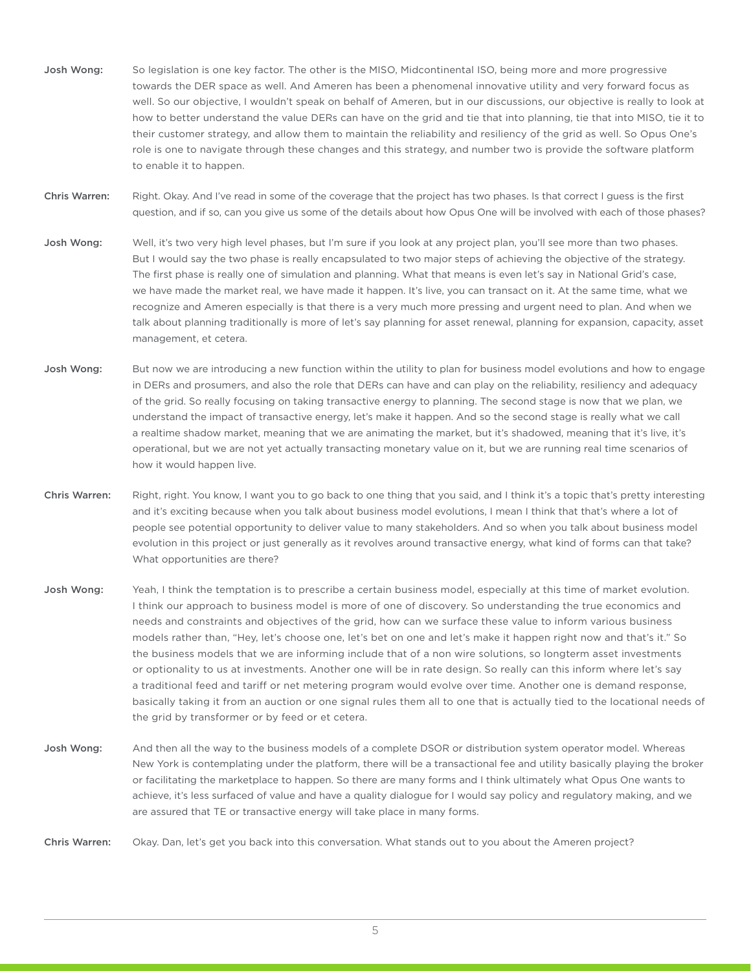- Josh Wong: So legislation is one key factor. The other is the MISO, Midcontinental ISO, being more and more progressive towards the DER space as well. And Ameren has been a phenomenal innovative utility and very forward focus as well. So our objective, I wouldn't speak on behalf of Ameren, but in our discussions, our objective is really to look at how to better understand the value DERs can have on the grid and tie that into planning, tie that into MISO, tie it to their customer strategy, and allow them to maintain the reliability and resiliency of the grid as well. So Opus One's role is one to navigate through these changes and this strategy, and number two is provide the software platform to enable it to happen.
- Chris Warren: Right. Okay. And I've read in some of the coverage that the project has two phases. Is that correct I guess is the first question, and if so, can you give us some of the details about how Opus One will be involved with each of those phases?
- Josh Wong: Well, it's two very high level phases, but I'm sure if you look at any project plan, you'll see more than two phases. But I would say the two phase is really encapsulated to two major steps of achieving the objective of the strategy. The first phase is really one of simulation and planning. What that means is even let's say in National Grid's case, we have made the market real, we have made it happen. It's live, you can transact on it. At the same time, what we recognize and Ameren especially is that there is a very much more pressing and urgent need to plan. And when we talk about planning traditionally is more of let's say planning for asset renewal, planning for expansion, capacity, asset management, et cetera.
- Josh Wong: But now we are introducing a new function within the utility to plan for business model evolutions and how to engage in DERs and prosumers, and also the role that DERs can have and can play on the reliability, resiliency and adequacy of the grid. So really focusing on taking transactive energy to planning. The second stage is now that we plan, we understand the impact of transactive energy, let's make it happen. And so the second stage is really what we call a realtime shadow market, meaning that we are animating the market, but it's shadowed, meaning that it's live, it's operational, but we are not yet actually transacting monetary value on it, but we are running real time scenarios of how it would happen live.
- Chris Warren: Right, right. You know, I want you to go back to one thing that you said, and I think it's a topic that's pretty interesting and it's exciting because when you talk about business model evolutions, I mean I think that that's where a lot of people see potential opportunity to deliver value to many stakeholders. And so when you talk about business model evolution in this project or just generally as it revolves around transactive energy, what kind of forms can that take? What opportunities are there?
- Josh Wong: Yeah, I think the temptation is to prescribe a certain business model, especially at this time of market evolution. I think our approach to business model is more of one of discovery. So understanding the true economics and needs and constraints and objectives of the grid, how can we surface these value to inform various business models rather than, "Hey, let's choose one, let's bet on one and let's make it happen right now and that's it." So the business models that we are informing include that of a non wire solutions, so longterm asset investments or optionality to us at investments. Another one will be in rate design. So really can this inform where let's say a traditional feed and tariff or net metering program would evolve over time. Another one is demand response, basically taking it from an auction or one signal rules them all to one that is actually tied to the locational needs of the grid by transformer or by feed or et cetera.
- Josh Wong: And then all the way to the business models of a complete DSOR or distribution system operator model. Whereas New York is contemplating under the platform, there will be a transactional fee and utility basically playing the broker or facilitating the marketplace to happen. So there are many forms and I think ultimately what Opus One wants to achieve, it's less surfaced of value and have a quality dialogue for I would say policy and regulatory making, and we are assured that TE or transactive energy will take place in many forms.

Chris Warren: Okay. Dan, let's get you back into this conversation. What stands out to you about the Ameren project?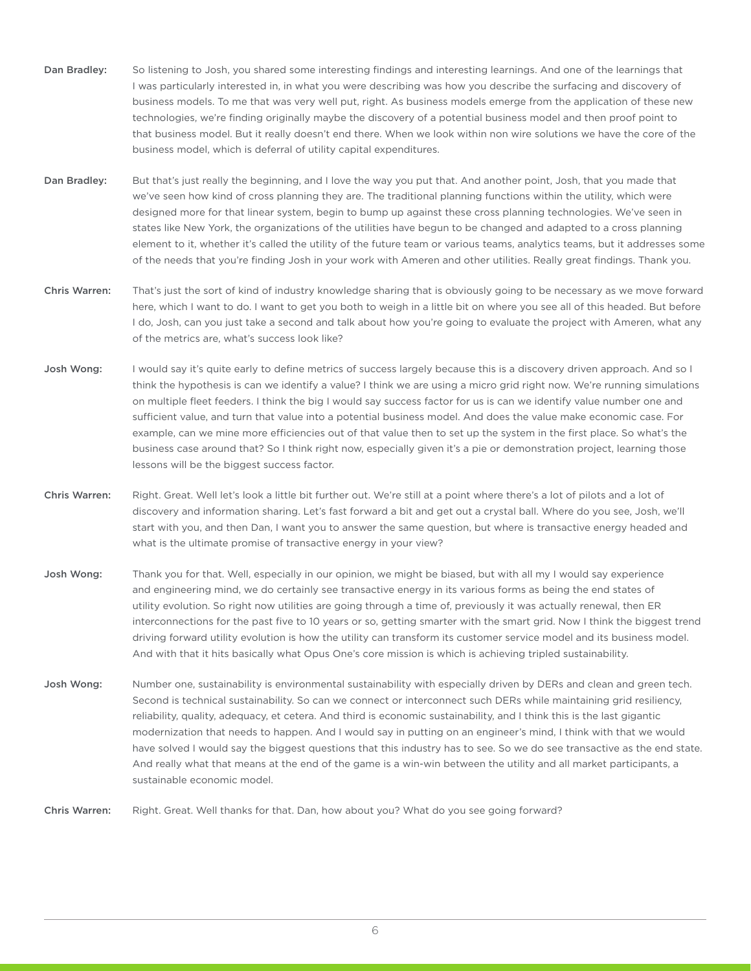- Dan Bradley: So listening to Josh, you shared some interesting findings and interesting learnings. And one of the learnings that I was particularly interested in, in what you were describing was how you describe the surfacing and discovery of business models. To me that was very well put, right. As business models emerge from the application of these new technologies, we're finding originally maybe the discovery of a potential business model and then proof point to that business model. But it really doesn't end there. When we look within non wire solutions we have the core of the business model, which is deferral of utility capital expenditures.
- Dan Bradley: But that's just really the beginning, and I love the way you put that. And another point, Josh, that you made that we've seen how kind of cross planning they are. The traditional planning functions within the utility, which were designed more for that linear system, begin to bump up against these cross planning technologies. We've seen in states like New York, the organizations of the utilities have begun to be changed and adapted to a cross planning element to it, whether it's called the utility of the future team or various teams, analytics teams, but it addresses some of the needs that you're finding Josh in your work with Ameren and other utilities. Really great findings. Thank you.
- Chris Warren: That's just the sort of kind of industry knowledge sharing that is obviously going to be necessary as we move forward here, which I want to do. I want to get you both to weigh in a little bit on where you see all of this headed. But before I do, Josh, can you just take a second and talk about how you're going to evaluate the project with Ameren, what any of the metrics are, what's success look like?
- Josh Wong: I would say it's quite early to define metrics of success largely because this is a discovery driven approach. And so I think the hypothesis is can we identify a value? I think we are using a micro grid right now. We're running simulations on multiple fleet feeders. I think the big I would say success factor for us is can we identify value number one and sufficient value, and turn that value into a potential business model. And does the value make economic case. For example, can we mine more efficiencies out of that value then to set up the system in the first place. So what's the business case around that? So I think right now, especially given it's a pie or demonstration project, learning those lessons will be the biggest success factor.
- Chris Warren: Right. Great. Well let's look a little bit further out. We're still at a point where there's a lot of pilots and a lot of discovery and information sharing. Let's fast forward a bit and get out a crystal ball. Where do you see, Josh, we'll start with you, and then Dan, I want you to answer the same question, but where is transactive energy headed and what is the ultimate promise of transactive energy in your view?
- Josh Wong: Thank you for that. Well, especially in our opinion, we might be biased, but with all my I would say experience and engineering mind, we do certainly see transactive energy in its various forms as being the end states of utility evolution. So right now utilities are going through a time of, previously it was actually renewal, then ER interconnections for the past five to 10 years or so, getting smarter with the smart grid. Now I think the biggest trend driving forward utility evolution is how the utility can transform its customer service model and its business model. And with that it hits basically what Opus One's core mission is which is achieving tripled sustainability.
- Josh Wong: Number one, sustainability is environmental sustainability with especially driven by DERs and clean and green tech. Second is technical sustainability. So can we connect or interconnect such DERs while maintaining grid resiliency, reliability, quality, adequacy, et cetera. And third is economic sustainability, and I think this is the last gigantic modernization that needs to happen. And I would say in putting on an engineer's mind, I think with that we would have solved I would say the biggest questions that this industry has to see. So we do see transactive as the end state. And really what that means at the end of the game is a win-win between the utility and all market participants, a sustainable economic model.

Chris Warren: Right. Great. Well thanks for that. Dan, how about you? What do you see going forward?